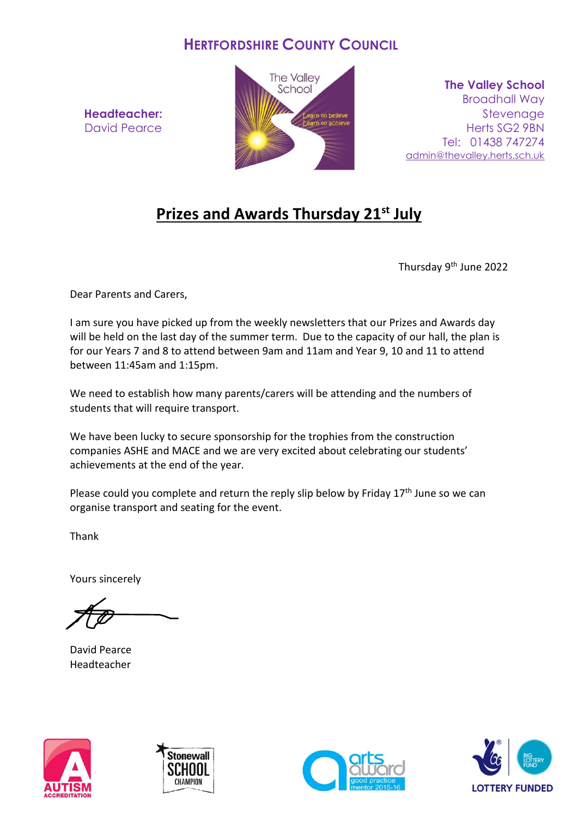## **HERTFORDSHIRE COUNTY COUNCIL**

**Headteacher:** David Pearce



**The Valley School** Broadhall Way **Stevenage** Herts SG2 9BN Tel: 01438 747274 [admin@thevalley.herts.sch.uk](mailto:admin@thevalley.herts.sch.uk)

## **Prizes and Awards Thursday 21st July**

Thursday 9th June 2022

Dear Parents and Carers,

I am sure you have picked up from the weekly newsletters that our Prizes and Awards day will be held on the last day of the summer term. Due to the capacity of our hall, the plan is for our Years 7 and 8 to attend between 9am and 11am and Year 9, 10 and 11 to attend between 11:45am and 1:15pm.

We need to establish how many parents/carers will be attending and the numbers of students that will require transport.

We have been lucky to secure sponsorship for the trophies from the construction companies ASHE and MACE and we are very excited about celebrating our students' achievements at the end of the year.

Please could you complete and return the reply slip below by Friday 17<sup>th</sup> June so we can organise transport and seating for the event.

Thank

Yours sincerely

David Pearce Headteacher